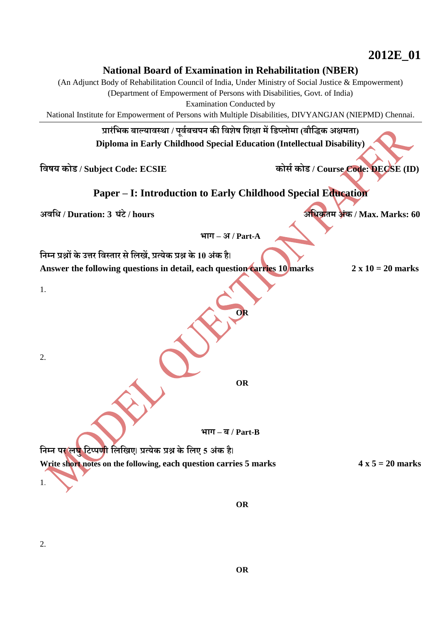**2012E\_01**

## **National Board of Examination in Rehabilitation (NBER)**

(An Adjunct Body of Rehabilitation Council of India, Under Ministry of Social Justice & Empowerment)

(Department of Empowerment of Persons with Disabilities, Govt. of India)

Examination Conducted by

National Institute for Empowerment of Persons with Multiple Disabilities, DIVYANGJAN (NIEPMD) Chennai.

**प्रारंभिक बाल्यावस्था / पूववबचपन की भवशेष भशक्षा मेंभिप्लोमा (बौभिक अक्षमता) Diploma in Early Childhood Special Education (Intellectual Disability)**

**भवषय कोि / Subject Code: ECSIE कोर्व कोि / Course Code: DECSE (ID)**

## **Paper – I: Introduction to Early Childhood Special Education**

**अवभि / Duration: 3 घंटे/ hours अभिकतम अंक / Max. Marks: 60**

**िाग – अ / Part-A**

**भनम्न प्रश्नों के उत्तर भवस्तार र्े भलखें, प्रत्येक प्रश्न के 10 अंक है**। Answer the following questions in detail, each question carries 10 marks  $2 \times 10 = 20$  marks

1.

2.

**OR**

**OR**

**िाग – ब / Part-B**

**भनम्न पर लघुभटप्पणी भलभखए**। **प्रत्येक प्रश्न के भलए <sup>5</sup> अंक है**। Write short notes on the following, each question carries 5 marks  $4 \times 5 = 20$  marks 1.

2.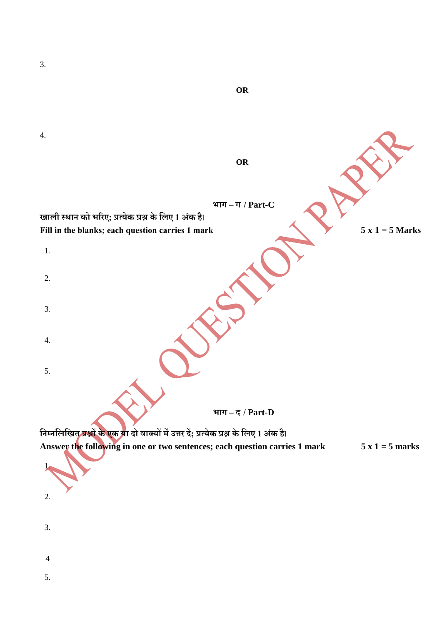| OR                                                                                       |                 |
|------------------------------------------------------------------------------------------|-----------------|
|                                                                                          |                 |
| 4.                                                                                       |                 |
| OR                                                                                       |                 |
|                                                                                          |                 |
|                                                                                          |                 |
| भाग $-$ ग / Part-C<br>खाली स्थान को भरिए; प्रत्येक प्रश्न के लिए 1 अंक है।               |                 |
| Fill in the blanks; each question carries 1 mark                                         | $5x1 = 5 Marks$ |
| $\mathbf{1}$ .                                                                           |                 |
| 2.                                                                                       |                 |
|                                                                                          |                 |
| 3.                                                                                       |                 |
| 4.                                                                                       |                 |
|                                                                                          |                 |
| 5.                                                                                       |                 |
|                                                                                          |                 |
| भाग $-\vec{\xi}$ / Part-D                                                                |                 |
| निम्नलिखित प्रश्नों के एक या दो वाक्यों में उत्तर दें; प्रत्येक प्रश्न के लिए 1 अंक है।  |                 |
| Answer th <mark>e</mark> following in one or two sentences; each question carries 1 mark | $5x1 = 5 marks$ |
|                                                                                          |                 |
| 2.                                                                                       |                 |
|                                                                                          |                 |
| 3.                                                                                       |                 |
| $\overline{4}$                                                                           |                 |

3.

5.